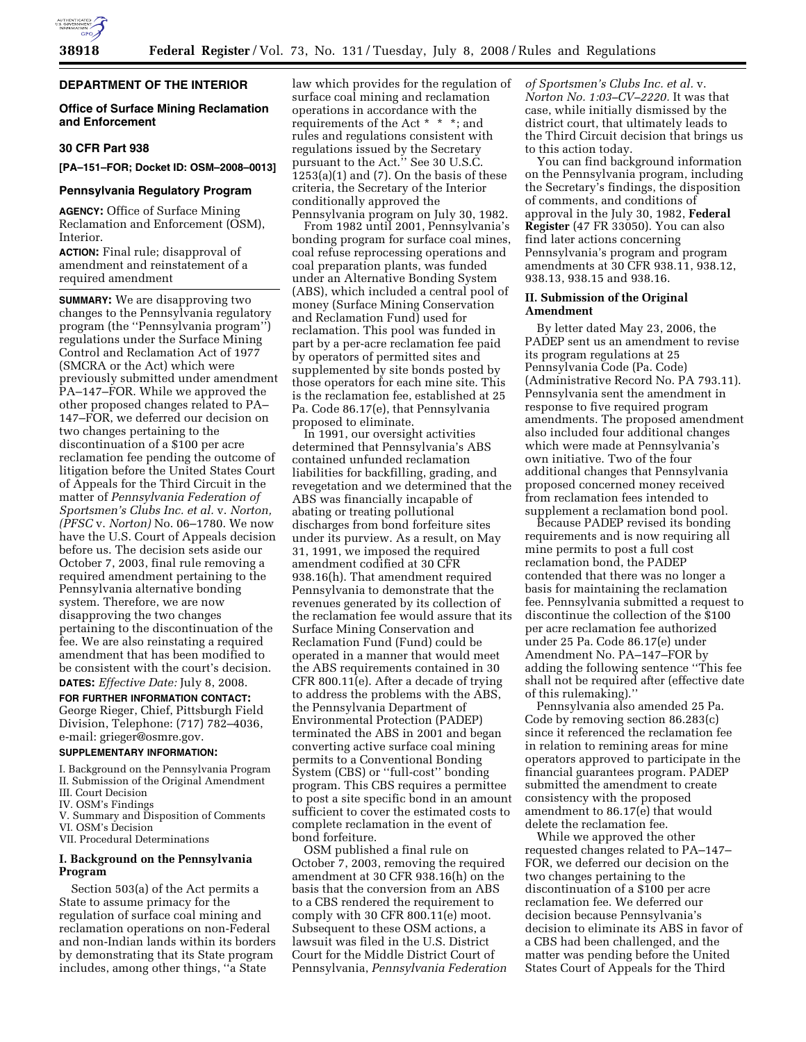

# **DEPARTMENT OF THE INTERIOR**

### **Office of Surface Mining Reclamation and Enforcement**

### **30 CFR Part 938**

**[PA–151–FOR; Docket ID: OSM–2008–0013]** 

#### **Pennsylvania Regulatory Program**

**AGENCY:** Office of Surface Mining Reclamation and Enforcement (OSM), **Interior** 

**ACTION:** Final rule; disapproval of amendment and reinstatement of a required amendment

**SUMMARY:** We are disapproving two changes to the Pennsylvania regulatory program (the ''Pennsylvania program'') regulations under the Surface Mining Control and Reclamation Act of 1977 (SMCRA or the Act) which were previously submitted under amendment PA–147–FOR. While we approved the other proposed changes related to PA– 147–FOR, we deferred our decision on two changes pertaining to the discontinuation of a \$100 per acre reclamation fee pending the outcome of litigation before the United States Court of Appeals for the Third Circuit in the matter of *Pennsylvania Federation of Sportsmen's Clubs Inc. et al.* v. *Norton, (PFSC* v. *Norton)* No. 06–1780. We now have the U.S. Court of Appeals decision before us. The decision sets aside our October 7, 2003, final rule removing a required amendment pertaining to the Pennsylvania alternative bonding system. Therefore, we are now disapproving the two changes pertaining to the discontinuation of the fee. We are also reinstating a required amendment that has been modified to be consistent with the court's decision.

**DATES:** *Effective Date:* July 8, 2008.

**FOR FURTHER INFORMATION CONTACT:**  George Rieger, Chief, Pittsburgh Field Division, Telephone: (717) 782–4036, e-mail: grieger@osmre.gov.

#### **SUPPLEMENTARY INFORMATION:**

I. Background on the Pennsylvania Program II. Submission of the Original Amendment

- III. Court Decision
- IV. OSM's Findings
- V. Summary and Disposition of Comments VI. OSM's Decision
- VII. Procedural Determinations

# **I. Background on the Pennsylvania Program**

Section 503(a) of the Act permits a State to assume primacy for the regulation of surface coal mining and reclamation operations on non-Federal and non-Indian lands within its borders by demonstrating that its State program includes, among other things, ''a State

law which provides for the regulation of surface coal mining and reclamation operations in accordance with the requirements of the Act \* \* \*; and rules and regulations consistent with regulations issued by the Secretary pursuant to the Act." See 30 U.S.C.  $1253(a)(1)$  and  $(7)$ . On the basis of these criteria, the Secretary of the Interior conditionally approved the Pennsylvania program on July 30, 1982.

From 1982 until 2001, Pennsylvania's bonding program for surface coal mines, coal refuse reprocessing operations and coal preparation plants, was funded under an Alternative Bonding System (ABS), which included a central pool of money (Surface Mining Conservation and Reclamation Fund) used for reclamation. This pool was funded in part by a per-acre reclamation fee paid by operators of permitted sites and supplemented by site bonds posted by those operators for each mine site. This is the reclamation fee, established at 25 Pa. Code 86.17(e), that Pennsylvania proposed to eliminate.

In 1991, our oversight activities determined that Pennsylvania's ABS contained unfunded reclamation liabilities for backfilling, grading, and revegetation and we determined that the ABS was financially incapable of abating or treating pollutional discharges from bond forfeiture sites under its purview. As a result, on May 31, 1991, we imposed the required amendment codified at 30 CFR 938.16(h). That amendment required Pennsylvania to demonstrate that the revenues generated by its collection of the reclamation fee would assure that its Surface Mining Conservation and Reclamation Fund (Fund) could be operated in a manner that would meet the ABS requirements contained in 30 CFR 800.11(e). After a decade of trying to address the problems with the ABS, the Pennsylvania Department of Environmental Protection (PADEP) terminated the ABS in 2001 and began converting active surface coal mining permits to a Conventional Bonding System (CBS) or ''full-cost'' bonding program. This CBS requires a permittee to post a site specific bond in an amount sufficient to cover the estimated costs to complete reclamation in the event of bond forfeiture.

OSM published a final rule on October 7, 2003, removing the required amendment at 30 CFR 938.16(h) on the basis that the conversion from an ABS to a CBS rendered the requirement to comply with 30 CFR 800.11(e) moot. Subsequent to these OSM actions, a lawsuit was filed in the U.S. District Court for the Middle District Court of Pennsylvania, *Pennsylvania Federation*  *of Sportsmen's Clubs Inc. et al.* v. *Norton No. 1:03–CV–2220.* It was that case, while initially dismissed by the district court, that ultimately leads to the Third Circuit decision that brings us to this action today.

You can find background information on the Pennsylvania program, including the Secretary's findings, the disposition of comments, and conditions of approval in the July 30, 1982, **Federal Register** (47 FR 33050). You can also find later actions concerning Pennsylvania's program and program amendments at 30 CFR 938.11, 938.12, 938.13, 938.15 and 938.16.

#### **II. Submission of the Original Amendment**

By letter dated May 23, 2006, the PADEP sent us an amendment to revise its program regulations at 25 Pennsylvania Code (Pa. Code) (Administrative Record No. PA 793.11). Pennsylvania sent the amendment in response to five required program amendments. The proposed amendment also included four additional changes which were made at Pennsylvania's own initiative. Two of the four additional changes that Pennsylvania proposed concerned money received from reclamation fees intended to supplement a reclamation bond pool.

Because PADEP revised its bonding requirements and is now requiring all mine permits to post a full cost reclamation bond, the PADEP contended that there was no longer a basis for maintaining the reclamation fee. Pennsylvania submitted a request to discontinue the collection of the \$100 per acre reclamation fee authorized under 25 Pa. Code 86.17(e) under Amendment No. PA–147–FOR by adding the following sentence ''This fee shall not be required after (effective date of this rulemaking).''

Pennsylvania also amended 25 Pa. Code by removing section 86.283(c) since it referenced the reclamation fee in relation to remining areas for mine operators approved to participate in the financial guarantees program. PADEP submitted the amendment to create consistency with the proposed amendment to 86.17(e) that would delete the reclamation fee.

While we approved the other requested changes related to PA–147– FOR, we deferred our decision on the two changes pertaining to the discontinuation of a \$100 per acre reclamation fee. We deferred our decision because Pennsylvania's decision to eliminate its ABS in favor of a CBS had been challenged, and the matter was pending before the United States Court of Appeals for the Third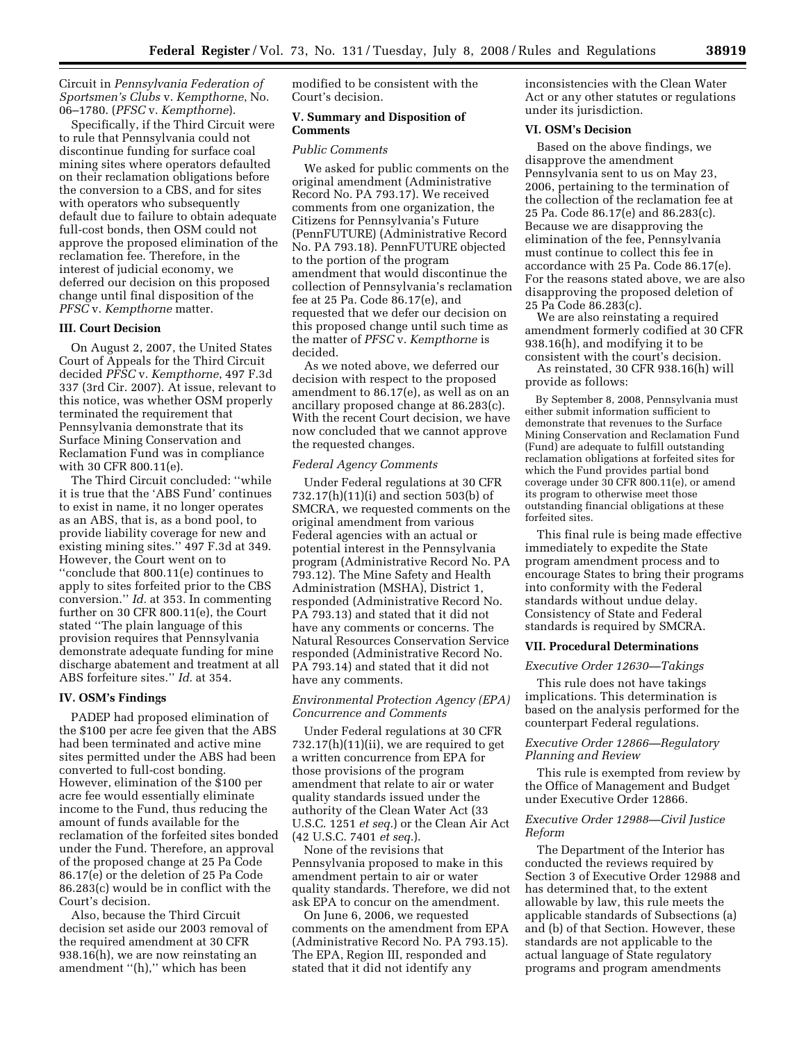Circuit in *Pennsylvania Federation of Sportsmen's Clubs* v. *Kempthorne*, No. 06–1780. (*PFSC* v. *Kempthorne*).

Specifically, if the Third Circuit were to rule that Pennsylvania could not discontinue funding for surface coal mining sites where operators defaulted on their reclamation obligations before the conversion to a CBS, and for sites with operators who subsequently default due to failure to obtain adequate full-cost bonds, then OSM could not approve the proposed elimination of the reclamation fee. Therefore, in the interest of judicial economy, we deferred our decision on this proposed change until final disposition of the *PFSC* v. *Kempthorne* matter.

#### **III. Court Decision**

On August 2, 2007, the United States Court of Appeals for the Third Circuit decided *PFSC* v. *Kempthorne*, 497 F.3d 337 (3rd Cir. 2007). At issue, relevant to this notice, was whether OSM properly terminated the requirement that Pennsylvania demonstrate that its Surface Mining Conservation and Reclamation Fund was in compliance with 30 CFR 800.11(e).

The Third Circuit concluded: ''while it is true that the 'ABS Fund' continues to exist in name, it no longer operates as an ABS, that is, as a bond pool, to provide liability coverage for new and existing mining sites.'' 497 F.3d at 349. However, the Court went on to ''conclude that 800.11(e) continues to apply to sites forfeited prior to the CBS conversion.'' *Id.* at 353. In commenting further on 30 CFR 800.11(e), the Court stated ''The plain language of this provision requires that Pennsylvania demonstrate adequate funding for mine discharge abatement and treatment at all ABS forfeiture sites.'' *Id.* at 354.

### **IV. OSM's Findings**

PADEP had proposed elimination of the \$100 per acre fee given that the ABS had been terminated and active mine sites permitted under the ABS had been converted to full-cost bonding. However, elimination of the \$100 per acre fee would essentially eliminate income to the Fund, thus reducing the amount of funds available for the reclamation of the forfeited sites bonded under the Fund. Therefore, an approval of the proposed change at 25 Pa Code 86.17(e) or the deletion of 25 Pa Code 86.283(c) would be in conflict with the Court's decision.

Also, because the Third Circuit decision set aside our 2003 removal of the required amendment at 30 CFR 938.16(h), we are now reinstating an amendment ''(h),'' which has been

modified to be consistent with the Court's decision.

### **V. Summary and Disposition of Comments**

### *Public Comments*

We asked for public comments on the original amendment (Administrative Record No. PA 793.17). We received comments from one organization, the Citizens for Pennsylvania's Future (PennFUTURE) (Administrative Record No. PA 793.18). PennFUTURE objected to the portion of the program amendment that would discontinue the collection of Pennsylvania's reclamation fee at 25 Pa. Code 86.17(e), and requested that we defer our decision on this proposed change until such time as the matter of *PFSC* v. *Kempthorne* is decided.

As we noted above, we deferred our decision with respect to the proposed amendment to 86.17(e), as well as on an ancillary proposed change at 86.283(c). With the recent Court decision, we have now concluded that we cannot approve the requested changes.

#### *Federal Agency Comments*

Under Federal regulations at 30 CFR 732.17(h)(11)(i) and section 503(b) of SMCRA, we requested comments on the original amendment from various Federal agencies with an actual or potential interest in the Pennsylvania program (Administrative Record No. PA 793.12). The Mine Safety and Health Administration (MSHA), District 1, responded (Administrative Record No. PA 793.13) and stated that it did not have any comments or concerns. The Natural Resources Conservation Service responded (Administrative Record No. PA 793.14) and stated that it did not have any comments.

### *Environmental Protection Agency (EPA) Concurrence and Comments*

Under Federal regulations at 30 CFR 732.17(h)(11)(ii), we are required to get a written concurrence from EPA for those provisions of the program amendment that relate to air or water quality standards issued under the authority of the Clean Water Act (33 U.S.C. 1251 *et seq.*) or the Clean Air Act (42 U.S.C. 7401 *et seq.*).

None of the revisions that Pennsylvania proposed to make in this amendment pertain to air or water quality standards. Therefore, we did not ask EPA to concur on the amendment.

On June 6, 2006, we requested comments on the amendment from EPA (Administrative Record No. PA 793.15). The EPA, Region III, responded and stated that it did not identify any

inconsistencies with the Clean Water Act or any other statutes or regulations under its jurisdiction.

### **VI. OSM's Decision**

Based on the above findings, we disapprove the amendment Pennsylvania sent to us on May 23, 2006, pertaining to the termination of the collection of the reclamation fee at 25 Pa. Code 86.17(e) and 86.283(c). Because we are disapproving the elimination of the fee, Pennsylvania must continue to collect this fee in accordance with 25 Pa. Code 86.17(e). For the reasons stated above, we are also disapproving the proposed deletion of 25 Pa Code 86.283(c).

We are also reinstating a required amendment formerly codified at 30 CFR 938.16(h), and modifying it to be consistent with the court's decision.

As reinstated, 30 CFR 938.16(h) will provide as follows:

By September 8, 2008, Pennsylvania must either submit information sufficient to demonstrate that revenues to the Surface Mining Conservation and Reclamation Fund (Fund) are adequate to fulfill outstanding reclamation obligations at forfeited sites for which the Fund provides partial bond coverage under 30 CFR 800.11(e), or amend its program to otherwise meet those outstanding financial obligations at these forfeited sites.

This final rule is being made effective immediately to expedite the State program amendment process and to encourage States to bring their programs into conformity with the Federal standards without undue delay. Consistency of State and Federal standards is required by SMCRA.

### **VII. Procedural Determinations**

#### *Executive Order 12630—Takings*

This rule does not have takings implications. This determination is based on the analysis performed for the counterpart Federal regulations.

# *Executive Order 12866—Regulatory Planning and Review*

This rule is exempted from review by the Office of Management and Budget under Executive Order 12866.

### *Executive Order 12988—Civil Justice Reform*

The Department of the Interior has conducted the reviews required by Section 3 of Executive Order 12988 and has determined that, to the extent allowable by law, this rule meets the applicable standards of Subsections (a) and (b) of that Section. However, these standards are not applicable to the actual language of State regulatory programs and program amendments